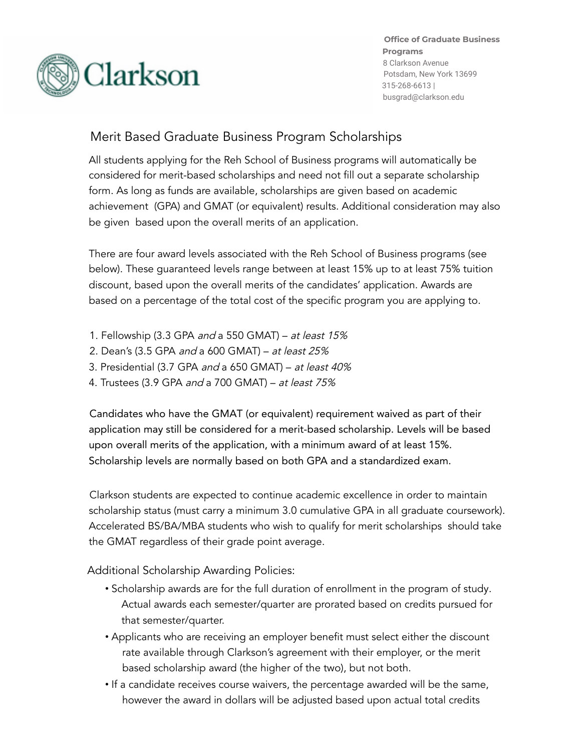

**Office of Graduate Business Programs** 8 Clarkson Avenue Potsdam, New York 13699 315-268-6613 | busgrad@clarkson.edu

## Merit Based Graduate Business Program Scholarships

All students applying for the Reh School of Business programs will automatically be considered for merit-based scholarships and need not fill out a separate scholarship form. As long as funds are available, scholarships are given based on academic achievement (GPA) and GMAT (or equivalent) results. Additional consideration may also be given based upon the overall merits of an application.

There are four award levels associated with the Reh School of Business programs (see below). These guaranteed levels range between at least 15% up to at least 75% tuition discount, based upon the overall merits of the candidates' application. Awards are based on a percentage of the total cost of the specific program you are applying to.

- 1. Fellowship (3.3 GPA and a 550 GMAT) at least 15%
- 2. Dean's (3.5 GPA and a 600 GMAT) at least 25%
- 3. Presidential (3.7 GPA and a 650 GMAT) at least 40%
- 4. Trustees (3.9 GPA and a 700 GMAT) at least 75%

Candidates who have the GMAT (or equivalent) requirement waived as part of their application may still be considered for a merit-based scholarship. Levels will be based upon overall merits of the application, with a minimum award of at least 15%. Scholarship levels are normally based on both GPA and a standardized exam.

Clarkson students are expected to continue academic excellence in order to maintain scholarship status (must carry a minimum 3.0 cumulative GPA in all graduate coursework). Accelerated BS/BA/MBA students who wish to qualify for merit scholarships should take the GMAT regardless of their grade point average.

Additional Scholarship Awarding Policies:

- Scholarship awards are for the full duration of enrollment in the program of study. Actual awards each semester/quarter are prorated based on credits pursued for that semester/quarter.
- Applicants who are receiving an employer benefit must select either the discount rate available through Clarkson's agreement with their employer, or the merit based scholarship award (the higher of the two), but not both.
- If a candidate receives course waivers, the percentage awarded will be the same, however the award in dollars will be adjusted based upon actual total credits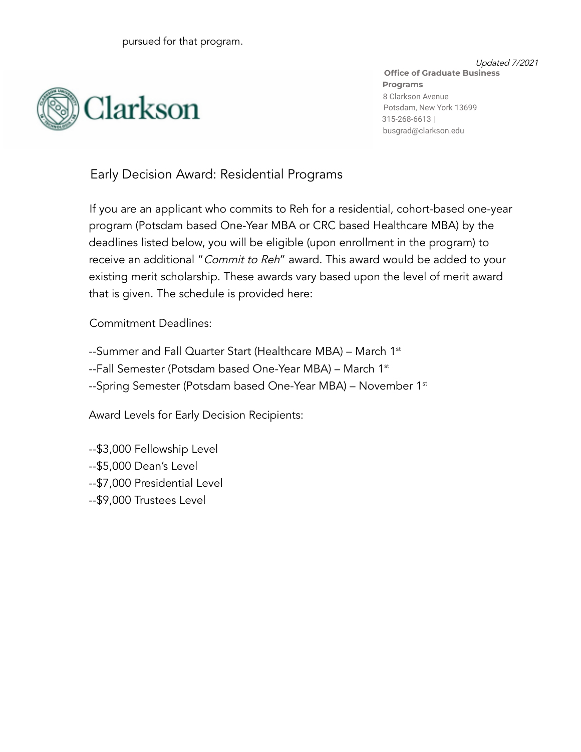

Updated 7/2021 **Office of Graduate Business Programs** 8 Clarkson Avenue Potsdam, New York 13699 315-268-6613 | busgrad@clarkson.edu

Early Decision Award: Residential Programs

If you are an applicant who commits to Reh for a residential, cohort-based one-year program (Potsdam based One-Year MBA or CRC based Healthcare MBA) by the deadlines listed below, you will be eligible (upon enrollment in the program) to receive an additional "Commit to Reh" award. This award would be added to your existing merit scholarship. These awards vary based upon the level of merit award that is given. The schedule is provided here:

Commitment Deadlines:

--Summer and Fall Quarter Start (Healthcare MBA) – March 1st --Fall Semester (Potsdam based One-Year MBA) – March 1st --Spring Semester (Potsdam based One-Year MBA) – November 1st

Award Levels for Early Decision Recipients:

--\$3,000 Fellowship Level --\$5,000 Dean's Level --\$7,000 Presidential Level --\$9,000 Trustees Level